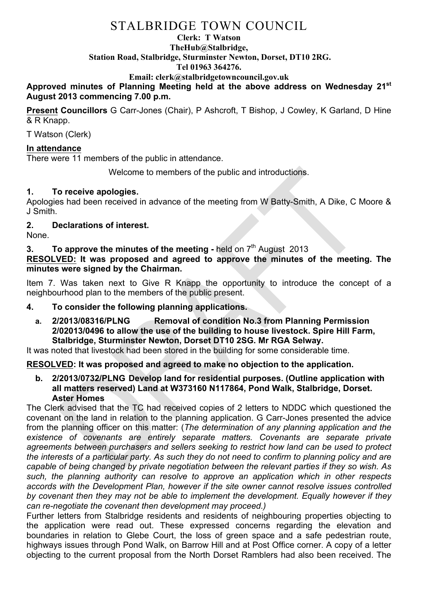# STALBRIDGE TOWN COUNCIL

#### **Clerk: T Watson TheHub@Stalbridge, Station Road, Stalbridge, Sturminster Newton, Dorset, DT10 2RG. Tel 01963 364276.**

# **Email: clerk@stalbridgetowncouncil.gov.uk**

**Approved minutes of Planning Meeting held at the above address on Wednesday 21st August 2013 commencing 7.00 p.m.**

**Present Councillors** G Carr-Jones (Chair), P Ashcroft, T Bishop, J Cowley, K Garland, D Hine & R Knapp.

T Watson (Clerk)

## **In attendance**

There were 11 members of the public in attendance.

Welcome to members of the public and introductions.

# **1. To receive apologies.**

Apologies had been received in advance of the meeting from W Batty-Smith, A Dike, C Moore & J Smith.

# **2. Declarations of interest.**

None.

**3. To approve the minutes of the meeting -** held on 7<sup>th</sup> August 2013

**RESOLVED: It was proposed and agreed to approve the minutes of the meeting. The minutes were signed by the Chairman.**

Item 7. Was taken next to Give R Knapp the opportunity to introduce the concept of a neighbourhood plan to the members of the public present.

### **4. To consider the following planning applications.**

**a. 2/2013/08316/PLNG Removal of condition No.3 from Planning Permission 2/02013/0496 to allow the use of the building to house livestock. Spire Hill Farm, Stalbridge, Sturminster Newton, Dorset DT10 2SG. Mr RGA Selway.**

It was noted that livestock had been stored in the building for some considerable time.

### **RESOLVED: It was proposed and agreed to make no objection to the application.**

**b. 2/2013/0732/PLNG Develop land for residential purposes. (Outline application with all matters reserved) Land at W373160 N117864, Pond Walk, Stalbridge, Dorset. Aster Homes**

The Clerk advised that the TC had received copies of 2 letters to NDDC which questioned the covenant on the land in relation to the planning application. G Carr-Jones presented the advice from the planning officer on this matter: (*The determination of any planning application and the existence of covenants are entirely separate matters. Covenants are separate private agreements between purchasers and sellers seeking to restrict how land can be used to protect the interests of a particular party. As such they do not need to confirm to planning policy and are capable of being changed by private negotiation between the relevant parties if they so wish. As such, the planning authority can resolve to approve an application which in other respects accords with the Development Plan, however if the site owner cannot resolve issues controlled by covenant then they may not be able to implement the development. Equally however if they can re-negotiate the covenant then development may proceed.)*

Further letters from Stalbridge residents and residents of neighbouring properties objecting to the application were read out. These expressed concerns regarding the elevation and boundaries in relation to Glebe Court, the loss of green space and a safe pedestrian route, highways issues through Pond Walk, on Barrow Hill and at Post Office corner. A copy of a letter objecting to the current proposal from the North Dorset Ramblers had also been received. The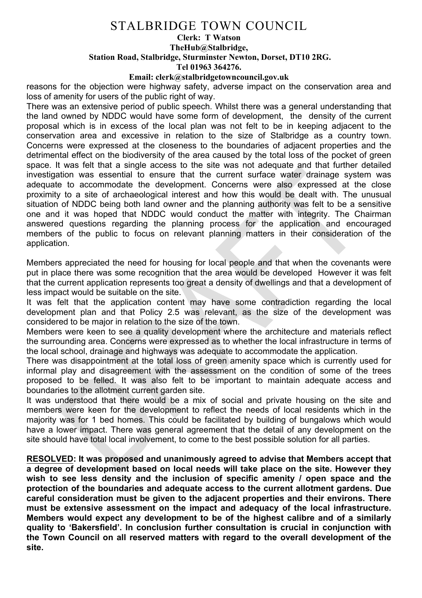# STALBRIDGE TOWN COUNCIL

#### **Clerk: T Watson TheHub@Stalbridge, Station Road, Stalbridge, Sturminster Newton, Dorset, DT10 2RG. Tel 01963 364276.**

#### **Email: clerk@stalbridgetowncouncil.gov.uk**

reasons for the objection were highway safety, adverse impact on the conservation area and loss of amenity for users of the public right of way.

There was an extensive period of public speech. Whilst there was a general understanding that the land owned by NDDC would have some form of development, the density of the current proposal which is in excess of the local plan was not felt to be in keeping adjacent to the conservation area and excessive in relation to the size of Stalbridge as a country town. Concerns were expressed at the closeness to the boundaries of adjacent properties and the detrimental effect on the biodiversity of the area caused by the total loss of the pocket of green space. It was felt that a single access to the site was not adequate and that further detailed investigation was essential to ensure that the current surface water drainage system was adequate to accommodate the development. Concerns were also expressed at the close proximity to a site of archaeological interest and how this would be dealt with. The unusual situation of NDDC being both land owner and the planning authority was felt to be a sensitive one and it was hoped that NDDC would conduct the matter with integrity. The Chairman answered questions regarding the planning process for the application and encouraged members of the public to focus on relevant planning matters in their consideration of the application.

Members appreciated the need for housing for local people and that when the covenants were put in place there was some recognition that the area would be developed However it was felt that the current application represents too great a density of dwellings and that a development of less impact would be suitable on the site.

It was felt that the application content may have some contradiction regarding the local development plan and that Policy 2.5 was relevant, as the size of the development was considered to be major in relation to the size of the town.

Members were keen to see a quality development where the architecture and materials reflect the surrounding area. Concerns were expressed as to whether the local infrastructure in terms of the local school, drainage and highways was adequate to accommodate the application.

There was disappointment at the total loss of green amenity space which is currently used for informal play and disagreement with the assessment on the condition of some of the trees proposed to be felled. It was also felt to be important to maintain adequate access and boundaries to the allotment current garden site.

It was understood that there would be a mix of social and private housing on the site and members were keen for the development to reflect the needs of local residents which in the majority was for 1 bed homes. This could be facilitated by building of bungalows which would have a lower impact. There was general agreement that the detail of any development on the site should have total local involvement, to come to the best possible solution for all parties.

**RESOLVED: It was proposed and unanimously agreed to advise that Members accept that a degree of development based on local needs will take place on the site. However they wish to see less density and the inclusion of specific amenity / open space and the protection of the boundaries and adequate access to the current allotment gardens. Due careful consideration must be given to the adjacent properties and their environs. There must be extensive assessment on the impact and adequacy of the local infrastructure. Members would expect any development to be of the highest calibre and of a similarly quality to 'Bakersfield'. In conclusion further consultation is crucial in conjunction with the Town Council on all reserved matters with regard to the overall development of the site.**